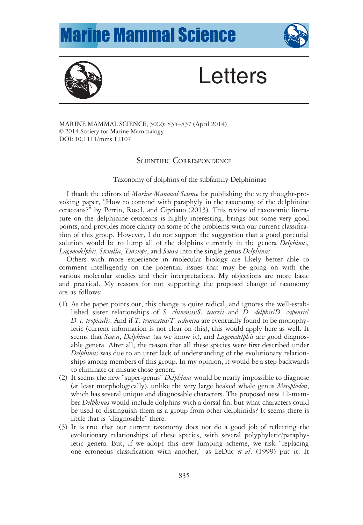## **Marine Mammal Science**





## **Letters**

MARINE MAMMAL SCIENCE, 30(2): 835–837 (April 2014) © 2014 Society for Marine Mammalogy DOI: 10.1111/mms.12107

## SCIENTIFIC CORRESPONDENCE

Taxonomy of dolphins of the subfamily Delphininae

I thank the editors of Marine Mammal Science for publishing the very thought-provoking paper, "How to contend with paraphyly in the taxonomy of the delphinine cetaceans?" by Perrin, Rosel, and Cipriano (2013). This review of taxonomic literature on the delphinine cetaceans is highly interesting, brings out some very good points, and provides more clarity on some of the problems with our current classification of this group. However, I do not support the suggestion that a good potential solution would be to lump all of the dolphins currently in the genera *Delphinus*, Lagenodelphis, Stenella, Tursiops, and Sousa into the single genus Delphinus.

Others with more experience in molecular biology are likely better able to comment intelligently on the potential issues that may be going on with the various molecular studies and their interpretations. My objections are more basic and practical. My reasons for not supporting the proposed change of taxonomy are as follows:

- (1) As the paper points out, this change is quite radical, and ignores the well-established sister relationships of S. chinensis/S. teuszii and D. delphis/D. capensis/ D. c. tropicalis. And if T. truncatus/T. aduncus are eventually found to be monophyletic (current information is not clear on this), this would apply here as well. It seems that Sousa, Delphinus (as we know it), and Lagenodelphis are good diagnosable genera. After all, the reason that all these species were first described under Delphinus was due to an utter lack of understanding of the evolutionary relationships among members of this group. In my opinion, it would be a step backwards to eliminate or misuse those genera.
- (2) It seems the new "super-genus" Delphinus would be nearly impossible to diagnose (at least morphologically), unlike the very large beaked whale genus Mesoplodon, which has several unique and diagnosable characters. The proposed new 12-member Delphinus would include dolphins with a dorsal fin, but what characters could be used to distinguish them as a group from other delphinids? It seems there is little that is "diagnosable" there.
- (3) It is true that our current taxonomy does not do a good job of reflecting the evolutionary relationships of these species, with several polyphyletic/paraphyletic genera. But, if we adopt this new lumping scheme, we risk "replacing one erroneous classification with another," as LeDuc et al. (1999) put it. It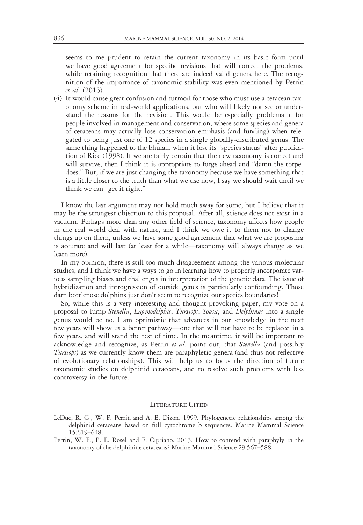seems to me prudent to retain the current taxonomy in its basic form until we have good agreement for specific revisions that will correct the problems, while retaining recognition that there are indeed valid genera here. The recognition of the importance of taxonomic stability was even mentioned by Perrin et al. (2013).

(4) It would cause great confusion and turmoil for those who must use a cetacean taxonomy scheme in real-world applications, but who will likely not see or understand the reasons for the revision. This would be especially problematic for people involved in management and conservation, where some species and genera of cetaceans may actually lose conservation emphasis (and funding) when relegated to being just one of 12 species in a single globally-distributed genus. The same thing happened to the bhulan, when it lost its "species status" after publication of Rice (1998). If we are fairly certain that the new taxonomy is correct and will survive, then I think it is appropriate to forge ahead and "damn the torpedoes." But, if we are just changing the taxonomy because we have something that is a little closer to the truth than what we use now, I say we should wait until we think we can "get it right."

I know the last argument may not hold much sway for some, but I believe that it may be the strongest objection to this proposal. After all, science does not exist in a vacuum. Perhaps more than any other field of science, taxonomy affects how people in the real world deal with nature, and I think we owe it to them not to change things up on them, unless we have some good agreement that what we are proposing is accurate and will last (at least for a while—taxonomy will always change as we learn more).

In my opinion, there is still too much disagreement among the various molecular studies, and I think we have a ways to go in learning how to properly incorporate various sampling biases and challenges in interpretation of the genetic data. The issue of hybridization and introgression of outside genes is particularly confounding. Those darn bottlenose dolphins just don't seem to recognize our species boundaries!

So, while this is a very interesting and thought-provoking paper, my vote on a proposal to lump Stenella, Lagenodelphis, Tursiops, Sousa, and Delphinus into a single genus would be no. I am optimistic that advances in our knowledge in the next few years will show us a better pathway—one that will not have to be replaced in a few years, and will stand the test of time. In the meantime, it will be important to acknowledge and recognize, as Perrin et al. point out, that Stenella (and possibly Tursiops) as we currently know them are paraphyletic genera (and thus not reflective of evolutionary relationships). This will help us to focus the direction of future taxonomic studies on delphinid cetaceans, and to resolve such problems with less controversy in the future.

## LITERATURE CITED

- LeDuc, R. G., W. F. Perrin and A. E. Dizon. 1999. Phylogenetic relationships among the delphinid cetaceans based on full cytochrome b sequences. Marine Mammal Science 15:619–648.
- Perrin, W. F., P. E. Rosel and F. Cipriano. 2013. How to contend with paraphyly in the taxonomy of the delphinine cetaceans? Marine Mammal Science 29:567–588.